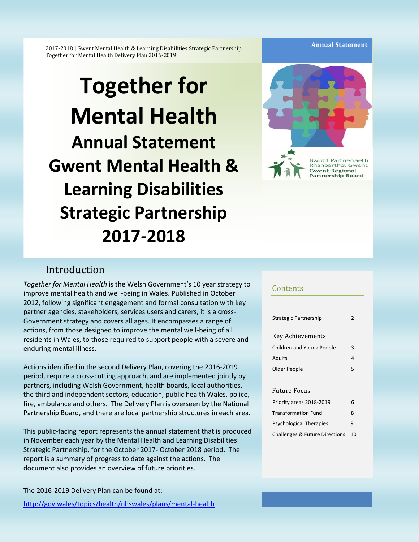**Annual Statement** 

2017-2018 | Gwent Mental Health & Learning Disabilities Strategic Partnership Together for Mental Health Delivery Plan 2016-2019

# **Together for Mental Health Annual Statement Gwent Mental Health & Learning Disabilities Strategic Partnership 2017-2018**



# Introduction

*Together for Mental Health* is the Welsh Government's 10 year strategy to improve mental health and well-being in Wales. Published in October 2012, following significant engagement and formal consultation with key partner agencies, stakeholders, services users and carers, it is a cross-Government strategy and covers all ages. It encompasses a range of actions, from those designed to improve the mental well-being of all residents in Wales, to those required to support people with a severe and enduring mental illness.

Actions identified in the second Delivery Plan, covering the 2016-2019 period, require a cross-cutting approach, and are implemented jointly by partners, including Welsh Government, health boards, local authorities, the third and independent sectors, education, public health Wales, police, fire, ambulance and others. The Delivery Plan is overseen by the National Partnership Board, and there are local partnership structures in each area.

This public-facing report represents the annual statement that is produced in November each year by the Mental Health and Learning Disabilities Strategic Partnership, for the October 2017- October 2018 period. The report is a summary of progress to date against the actions. The document also provides an overview of future priorities.

The 2016-2019 Delivery Plan can be found at:

<http://gov.wales/topics/health/nhswales/plans/mental-health>

#### Contents

| Strategic Partnership                     | 2  |
|-------------------------------------------|----|
|                                           |    |
| <b>Key Achievements</b>                   |    |
| Children and Young People                 | 3  |
| Adults                                    | 4  |
| Older People                              | 5  |
|                                           |    |
| <b>Future Focus</b>                       |    |
| Priority areas 2018-2019                  | 6  |
| <b>Transformation Fund</b>                | 8  |
| Psychological Therapies                   | 9  |
| <b>Challenges &amp; Future Directions</b> | 10 |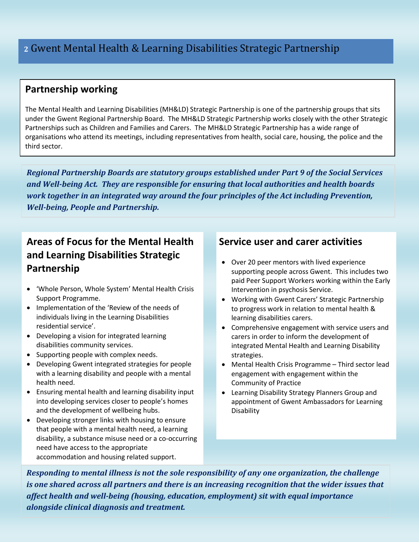# **Partnership working**

The Mental Health and Learning Disabilities (MH&LD) Strategic Partnership is one of the partnership groups that sits under the Gwent Regional Partnership Board. The MH&LD Strategic Partnership works closely with the other Strategic Partnerships such as Children and Families and Carers. The MH&LD Strategic Partnership has a wide range of organisations who attend its meetings, including representatives from health, social care, housing, the police and the third sector.

*Regional Partnership Boards are statutory groups established under Part 9 of the Social Services and Well-being Act. They are responsible for ensuring that local authorities and health boards work together in an integrated way around the four principles of the Act including Prevention, Well-being, People and Partnership.*

# **Areas of Focus for the Mental Health and Learning Disabilities Strategic Partnership**

- 'Whole Person, Whole System' Mental Health Crisis Support Programme.
- Implementation of the 'Review of the needs of individuals living in the Learning Disabilities residential service'.
- Developing a vision for integrated learning disabilities community services.
- Supporting people with complex needs.
- Developing Gwent integrated strategies for people with a learning disability and people with a mental health need.
- Ensuring mental health and learning disability input into developing services closer to people's homes and the development of wellbeing hubs.
- Developing stronger links with housing to ensure that people with a mental health need, a learning disability, a substance misuse need or a co-occurring need have access to the appropriate accommodation and housing related support.

# **Service user and carer activities**

- Over 20 peer mentors with lived experience supporting people across Gwent. This includes two paid Peer Support Workers working within the Early Intervention in psychosis Service.
- Working with Gwent Carers' Strategic Partnership to progress work in relation to mental health & learning disabilities carers.
- Comprehensive engagement with service users and carers in order to inform the development of integrated Mental Health and Learning Disability strategies.
- Mental Health Crisis Programme Third sector lead engagement with engagement within the Community of Practice
- Learning Disability Strategy Planners Group and appointment of Gwent Ambassadors for Learning Disability

*Responding to mental illness is not the sole responsibility of any one organization, the challenge is one shared across all partners and there is an increasing recognition that the wider issues that affect health and well-being (housing, education, employment) sit with equal importance alongside clinical diagnosis and treatment.*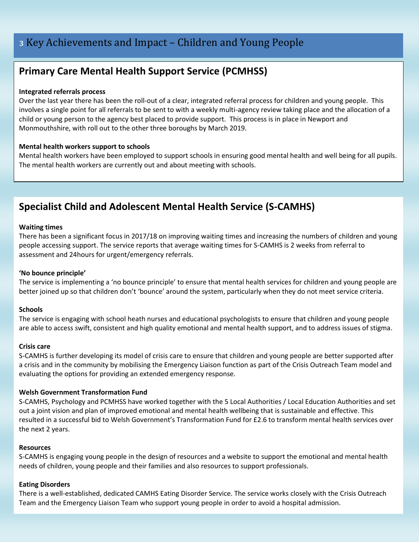# **Primary Care Mental Health Support Service (PCMHSS)**

#### **Integrated referrals process**

Over the last year there has been the roll-out of a clear, integrated referral process for children and young people. This involves a single point for all referrals to be sent to with a weekly multi-agency review taking place and the allocation of a child or young person to the agency best placed to provide support. This process is in place in Newport and Monmouthshire, with roll out to the other three boroughs by March 2019.

#### **Mental health workers support to schools**

Mental health workers have been employed to support schools in ensuring good mental health and well being for all pupils. The mental health workers are currently out and about meeting with schools.

# **Specialist Child and Adolescent Mental Health Service (S-CAMHS)**

#### **Waiting times**

There has been a significant focus in 2017/18 on improving waiting times and increasing the numbers of children and young people accessing support. The service reports that average waiting times for S-CAMHS is 2 weeks from referral to assessment and 24hours for urgent/emergency referrals.

#### **'No bounce principle'**

The service is implementing a 'no bounce principle' to ensure that mental health services for children and young people are better joined up so that children don't 'bounce' around the system, particularly when they do not meet service criteria.

#### **Schools**

The service is engaging with school heath nurses and educational psychologists to ensure that children and young people are able to access swift, consistent and high quality emotional and mental health support, and to address issues of stigma.

#### **Crisis care**

S-CAMHS is further developing its model of crisis care to ensure that children and young people are better supported after a crisis and in the community by mobilising the Emergency Liaison function as part of the Crisis Outreach Team model and evaluating the options for providing an extended emergency response.

#### **Welsh Government Transformation Fund**

S-CAMHS, Psychology and PCMHSS have worked together with the 5 Local Authorities / Local Education Authorities and set out a joint vision and plan of improved emotional and mental health wellbeing that is sustainable and effective. This resulted in a successful bid to Welsh Government's Transformation Fund for £2.6 to transform mental health services over the next 2 years.

#### **Resources**

S-CAMHS is engaging young people in the design of resources and a website to support the emotional and mental health needs of children, young people and their families and also resources to support professionals.

#### **Eating Disorders**

There is a well-established, dedicated CAMHS Eating Disorder Service. The service works closely with the Crisis Outreach Team and the Emergency Liaison Team who support young people in order to avoid a hospital admission.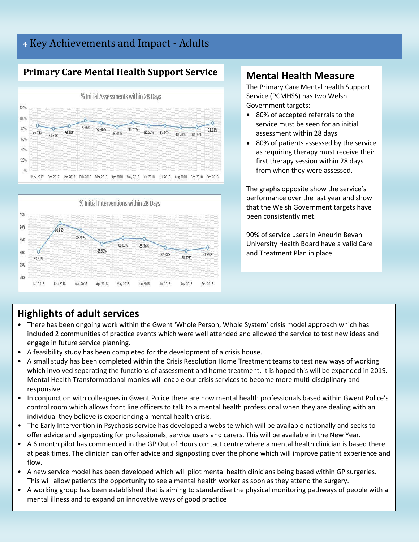# **<sup>4</sup>** Key Achievements and Impact - Adults

# **Primary Care Mental Health Support Service**





# **Mental Health Measure**

The Primary Care Mental health Support Service (PCMHSS) has two Welsh Government targets:

- 80% of accepted referrals to the service must be seen for an initial assessment within 28 days
- 80% of patients assessed by the service as requiring therapy must receive their first therapy session within 28 days from when they were assessed.

The graphs opposite show the service's performance over the last year and show that the Welsh Government targets have been consistently met.

90% of service users in Aneurin Bevan University Health Board have a valid Care and Treatment Plan in place.

# **Highlights of adult services**

- There has been ongoing work within the Gwent 'Whole Person, Whole System' crisis model approach which has included 2 communities of practice events which were well attended and allowed the service to test new ideas and engage in future service planning.
- A feasibility study has been completed for the development of a crisis house.
- A small study has been completed within the Crisis Resolution Home Treatment teams to test new ways of working which involved separating the functions of assessment and home treatment. It is hoped this will be expanded in 2019. Mental Health Transformational monies will enable our crisis services to become more multi-disciplinary and responsive.
- In conjunction with colleagues in Gwent Police there are now mental health professionals based within Gwent Police's control room which allows front line officers to talk to a mental health professional when they are dealing with an individual they believe is experiencing a mental health crisis.
- The Early Intervention in Psychosis service has developed a website which will be available nationally and seeks to offer advice and signposting for professionals, service users and carers. This will be available in the New Year.
- A 6 month pilot has commenced in the GP Out of Hours contact centre where a mental health clinician is based there at peak times. The clinician can offer advice and signposting over the phone which will improve patient experience and flow.
- A new service model has been developed which will pilot mental health clinicians being based within GP surgeries. This will allow patients the opportunity to see a mental health worker as soon as they attend the surgery.
- A working group has been established that is aiming to standardise the physical monitoring pathways of people with a mental illness and to expand on innovative ways of good practice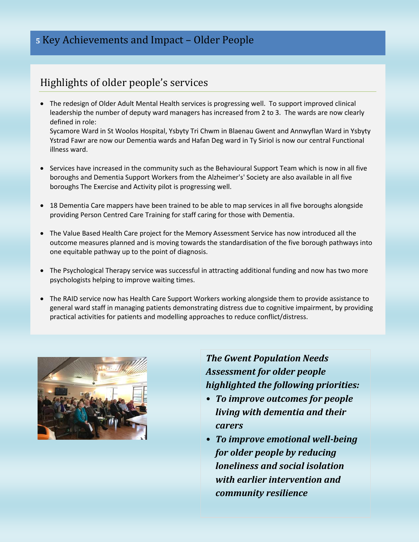# **<sup>5</sup>** Key Achievements and Impact – Older People

# Highlights of older people's services

 The redesign of Older Adult Mental Health services is progressing well. To support improved clinical leadership the number of deputy ward managers has increased from 2 to 3. The wards are now clearly defined in role: Sycamore Ward in St Woolos Hospital, Ysbyty Tri Chwm in Blaenau Gwent and Annwyflan Ward in Ysbyty

Ystrad Fawr are now our Dementia wards and Hafan Deg ward in Ty Siriol is now our central Functional illness ward.

- Services have increased in the community such as the Behavioural Support Team which is now in all five boroughs and Dementia Support Workers from the Alzheimer's' Society are also available in all five boroughs The Exercise and Activity pilot is progressing well.
- *Insert quote or text* providing Person Centred Care Training for staff caring for those with Dementia. 18 Dementia Care mappers have been trained to be able to map services in all five boroughs alongside
- The Value Based Health Care project for the Memory Assessment Service has now introduced all the outcome measures planned and is moving towards the standardisation of the five borough pathways into one equitable pathway up to the point of diagnosis.
- The Psychological Therapy service was successful in attracting additional funding and now has two more psychologists helping to improve waiting times.
- The RAID service now has Health Care Support Workers working alongside them to provide assistance to general ward staff in managing patients demonstrating distress due to cognitive impairment, by providing practical activities for patients and modelling approaches to reduce conflict/distress.



*The Gwent Population Needs Assessment for older people highlighted the following priorities:*

- *To improve outcomes for people living with dementia and their carers*
- *To improve emotional well-being for older people by reducing loneliness and social isolation with earlier intervention and community resilience*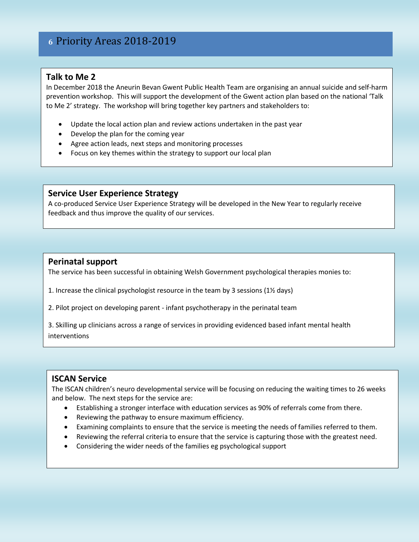# **6** Priority Areas 2018-2019

## **Talk to Me 2**

In December 2018 the Aneurin Bevan Gwent Public Health Team are organising an annual suicide and self-harm prevention workshop. This will support the development of the Gwent action plan based on the national 'Talk to Me 2' strategy. The workshop will bring together key partners and stakeholders to:

- Update the local action plan and review actions undertaken in the past year
- Develop the plan for the coming year
- Agree action leads, next steps and monitoring processes
- Focus on key themes within the strategy to support our local plan

#### **Service User Experience Strategy**

A co-produced Service User Experience Strategy will be developed in the New Year to regularly receive feedback and thus improve the quality of our services.

## **Perinatal support**

The service has been successful in obtaining Welsh Government psychological therapies monies to:

- 1. Increase the clinical psychologist resource in the team by 3 sessions (1½ days)
- 2. Pilot project on developing parent infant psychotherapy in the perinatal team

3. Skilling up clinicians across a range of services in providing evidenced based infant mental health interventions

## **ISCAN Service**

The ISCAN children's neuro developmental service will be focusing on reducing the waiting times to 26 weeks and below. The next steps for the service are:

- Establishing a stronger interface with education services as 90% of referrals come from there.
- Reviewing the pathway to ensure maximum efficiency.
- Examining complaints to ensure that the service is meeting the needs of families referred to them.
- Reviewing the referral criteria to ensure that the service is capturing those with the greatest need.
- Considering the wider needs of the families eg psychological support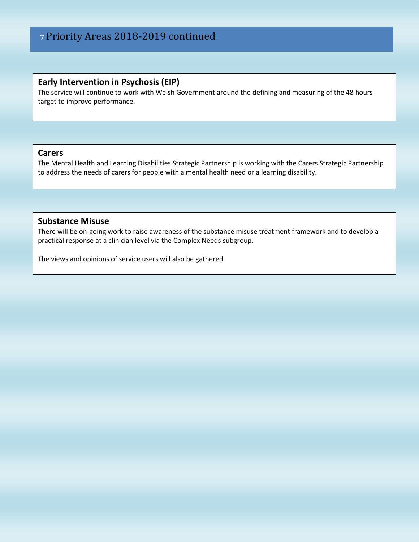## **Early Intervention in Psychosis (EIP)**

The service will continue to work with Welsh Government around the defining and measuring of the 48 hours target to improve performance.

## **Carers**

The Mental Health and Learning Disabilities Strategic Partnership is working with the Carers Strategic Partnership to address the needs of carers for people with a mental health need or a learning disability.

## **Substance Misuse**

There will be on-going work to raise awareness of the substance misuse treatment framework and to develop a practical response at a clinician level via the Complex Needs subgroup.

The views and opinions of service users will also be gathered.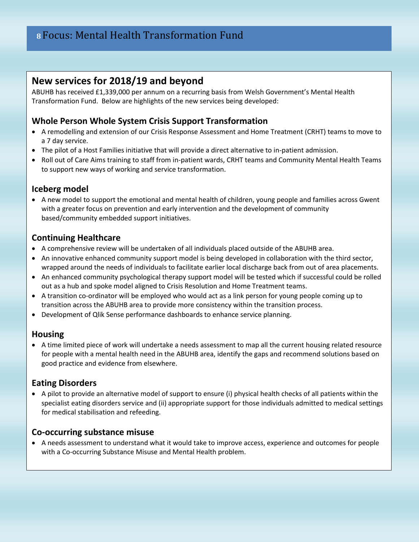# **New services for 2018/19 and beyond**

ABUHB has received £1,339,000 per annum on a recurring basis from Welsh Government's Mental Health Transformation Fund. Below are highlights of the new services being developed:

# **Whole Person Whole System Crisis Support Transformation**

- A remodelling and extension of our Crisis Response Assessment and Home Treatment (CRHT) teams to move to a 7 day service.
- The pilot of a Host Families initiative that will provide a direct alternative to in-patient admission.
- Roll out of Care Aims training to staff from in-patient wards, CRHT teams and Community Mental Health Teams to support new ways of working and service transformation.

# **Iceberg model**

• A new model to support the emotional and mental health of children, young people and families across Gwent with a greater focus on prevention and early intervention and the development of community based/community embedded support initiatives.

## **Continuing Healthcare**

- A comprehensive review will be undertaken of all individuals placed outside of the ABUHB area.
- An innovative enhanced community support model is being developed in collaboration with the third sector, wrapped around the needs of individuals to facilitate earlier local discharge back from out of area placements.
- An enhanced community psychological therapy support model will be tested which if successful could be rolled out as a hub and spoke model aligned to Crisis Resolution and Home Treatment teams.
- A transition co-ordinator will be employed who would act as a link person for young people coming up to transition across the ABUHB area to provide more consistency within the transition process.
- Development of Qlik Sense performance dashboards to enhance service planning.

# **Housing**

 A time limited piece of work will undertake a needs assessment to map all the current housing related resource for people with a mental health need in the ABUHB area, identify the gaps and recommend solutions based on good practice and evidence from elsewhere.

# **Eating Disorders**

 A pilot to provide an alternative model of support to ensure (i) physical health checks of all patients within the specialist eating disorders service and (ii) appropriate support for those individuals admitted to medical settings for medical stabilisation and refeeding.

## **Co-occurring substance misuse**

 A needs assessment to understand what it would take to improve access, experience and outcomes for people with a Co-occurring Substance Misuse and Mental Health problem.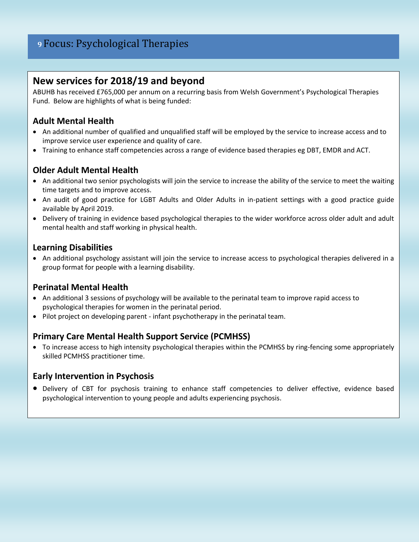# **9** Focus: Psychological Therapies

# **New services for 2018/19 and beyond**

ABUHB has received £765,000 per annum on a recurring basis from Welsh Government's Psychological Therapies Fund. Below are highlights of what is being funded:

# **Adult Mental Health**

- An additional number of qualified and unqualified staff will be employed by the service to increase access and to improve service user experience and quality of care.
- Training to enhance staff competencies across a range of evidence based therapies eg DBT, EMDR and ACT.

## **Older Adult Mental Health**

- An additional two senior psychologists will join the service to increase the ability of the service to meet the waiting time targets and to improve access.
- An audit of good practice for LGBT Adults and Older Adults in in-patient settings with a good practice guide available by April 2019.
- Delivery of training in evidence based psychological therapies to the wider workforce across older adult and adult mental health and staff working in physical health.

## **Learning Disabilities**

 An additional psychology assistant will join the service to increase access to psychological therapies delivered in a group format for people with a learning disability.

# **Perinatal Mental Health**

- An additional 3 sessions of psychology will be available to the perinatal team to improve rapid access to psychological therapies for women in the perinatal period.
- Pilot project on developing parent infant psychotherapy in the perinatal team.

# **Primary Care Mental Health Support Service (PCMHSS)**

 To increase access to high intensity psychological therapies within the PCMHSS by ring-fencing some appropriately skilled PCMHSS practitioner time.

## **Early Intervention in Psychosis**

 Delivery of CBT for psychosis training to enhance staff competencies to deliver effective, evidence based psychological intervention to young people and adults experiencing psychosis.